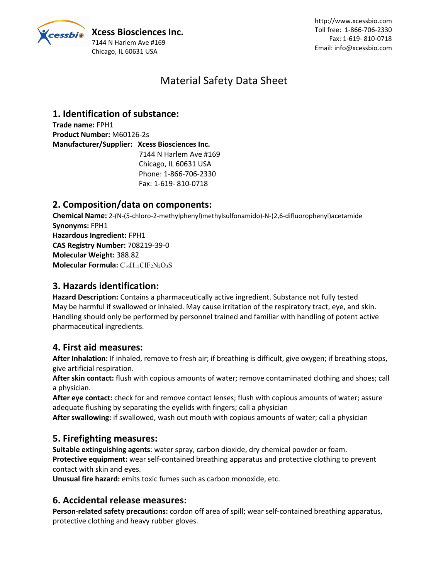

# Material Safety Data Sheet

# **1. Identification of substance:**

**Trade name:** FPH1 **Product Number:** M60126-2s **Manufacturer/Supplier: Xcess Biosciences Inc.** 7144 N Harlem Ave #169 Chicago, IL 60631 USA Phone: 1-866-706-2330 Fax: 1-619- 810-0718

## **2. Composition/data on components:**

**Chemical Name:** 2-(N-(5-chloro-2-methylphenyl)methylsulfonamido)-N-(2,6-difluorophenyl)acetamide **Synonyms:** FPH1 **Hazardous Ingredient:** FPH1 **CAS Registry Number:** 708219-39-0 **Molecular Weight:** 388.82 **Molecular Formula:** C16H15ClF2N2O3S

## **3. Hazards identification:**

Hazard Description: Contains a pharmaceutically active ingredient. Substance not fully tested May be harmful if swallowed or inhaled. May cause irritation of the respiratory tract, eye, and skin. Handling should only be performed by personnel trained and familiar with handling of potent active pharmaceutical ingredients.

## **4. First aid measures:**

**After Inhalation:** If inhaled, remove to fresh air; if breathing is difficult, give oxygen; if breathing stops, give artificial respiration.

**After skin contact:** flush with copious amounts of water; remove contaminated clothing and shoes; call a physician.

**After eye contact:** check for and remove contact lenses; flush with copious amounts of water; assure adequate flushing by separating the eyelids with fingers; call a physician

**After swallowing:** if swallowed, wash out mouth with copious amounts of water; call a physician

## **5. Firefighting measures:**

**Suitable extinguishing agents**: water spray, carbon dioxide, dry chemical powder or foam. **Protective equipment:** wear self-contained breathing apparatus and protective clothing to prevent contact with skin and eyes.

**Unusual fire hazard:** emits toxic fumes such as carbon monoxide, etc.

## **6. Accidental release measures:**

**Person-related safety precautions:** cordon off area of spill; wear self-contained breathing apparatus, protective clothing and heavy rubber gloves.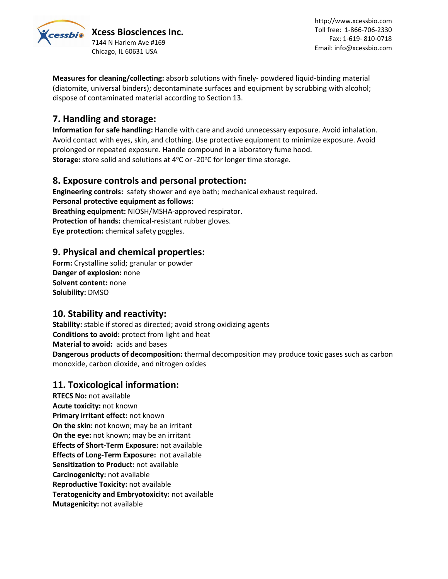

*<u>Cessbio*</u> Xcess Biosciences Inc. 7144 N Harlem Ave #169 Chicago, IL 60631 USA

http://www.xcessbio.com Toll free: 1-866-706-2330 Fax: 1-619- 810-0718 Email: info@xcessbio.com

**Measures for cleaning/collecting:** absorb solutions with finely- powdered liquid-binding material (diatomite, universal binders); decontaminate surfaces and equipment by scrubbing with alcohol; dispose of contaminated material according to Section 13.

## **7. Handling and storage:**

**Information for safe handling:** Handle with care and avoid unnecessary exposure. Avoid inhalation. Avoid contact with eyes, skin, and clothing. Use protective equipment to minimize exposure. Avoid prolonged or repeated exposure. Handle compound in a laboratory fume hood. **Storage:** store solid and solutions at 4°C or -20°C for longer time storage.

## **8. Exposure controls and personal protection:**

**Engineering controls:** safety shower and eye bath; mechanical exhaust required. **Personal protective equipment as follows: Breathing equipment:** NIOSH/MSHA-approved respirator. **Protection of hands:** chemical-resistant rubber gloves. **Eye protection:** chemical safety goggles.

## **9. Physical and chemical properties:**

**Form:** Crystalline solid; granular or powder **Danger of explosion:** none **Solvent content:** none **Solubility:** DMSO

## **10. Stability and reactivity:**

**Stability:** stable if stored as directed; avoid strong oxidizing agents **Conditions to avoid:** protect from light and heat **Material to avoid:** acids and bases **Dangerous products of decomposition:** thermal decomposition may produce toxic gases such as carbon monoxide, carbon dioxide, and nitrogen oxides

## **11. Toxicological information:**

**RTECS No:** not available **Acute toxicity:** not known **Primary irritant effect:** not known **On the skin:** not known; may be an irritant **On the eye:** not known; may be an irritant **Effects of Short-Term Exposure:** not available **Effects of Long-Term Exposure:** not available **Sensitization to Product:** not available **Carcinogenicity:** not available **Reproductive Toxicity:** not available **Teratogenicity and Embryotoxicity:** not available **Mutagenicity:** not available